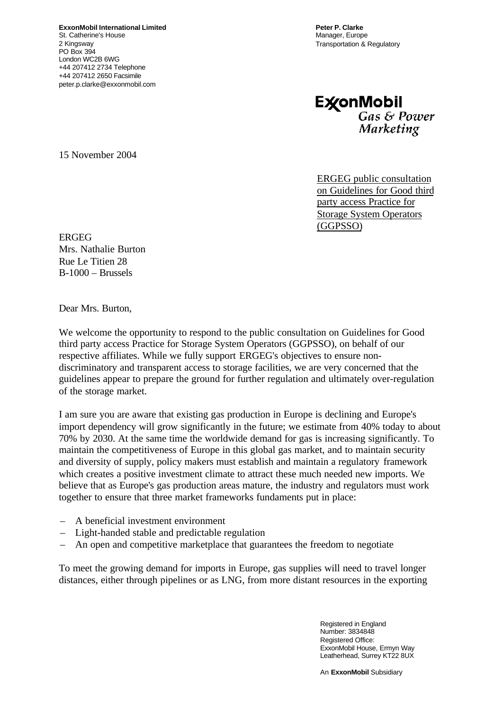**ExxonMobil International Limited** St. Catherine's House 2 Kingsway PO Box 394 London WC2B 6WG +44 207412 2734 Telephone +44 207412 2650 Facsimile peter.p.clarke@exxonmobil.com

**Peter P. Clarke** Manager, Europe Transportation & Regulatory

**ExconMobil** Gas & Power Marketing

15 November 2004

ERGEG public consultation on Guidelines for Good third party access Practice for Storage System Operators (GGPSSO)

**ERGEG** Mrs. Nathalie Burton Rue Le Titien 28 B-1000 – Brussels

Dear Mrs. Burton,

We welcome the opportunity to respond to the public consultation on Guidelines for Good third party access Practice for Storage System Operators (GGPSSO), on behalf of our respective affiliates. While we fully support ERGEG's objectives to ensure nondiscriminatory and transparent access to storage facilities, we are very concerned that the guidelines appear to prepare the ground for further regulation and ultimately over-regulation of the storage market.

I am sure you are aware that existing gas production in Europe is declining and Europe's import dependency will grow significantly in the future; we estimate from 40% today to about 70% by 2030. At the same time the worldwide demand for gas is increasing significantly. To maintain the competitiveness of Europe in this global gas market, and to maintain security and diversity of supply, policy makers must establish and maintain a regulatory framework which creates a positive investment climate to attract these much needed new imports. We believe that as Europe's gas production areas mature, the industry and regulators must work together to ensure that three market frameworks fundaments put in place:

- A beneficial investment environment
- Light-handed stable and predictable regulation
- An open and competitive marketplace that guarantees the freedom to negotiate

To meet the growing demand for imports in Europe, gas supplies will need to travel longer distances, either through pipelines or as LNG, from more distant resources in the exporting

> Registered in England Number: 3834848 Registered Office: ExxonMobil House, Ermyn Way Leatherhead, Surrey KT22 8UX

An **ExxonMobil** Subsidiary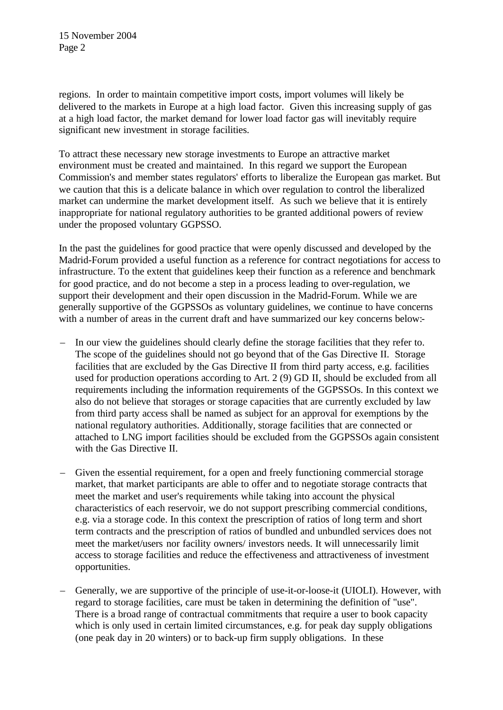regions. In order to maintain competitive import costs, import volumes will likely be delivered to the markets in Europe at a high load factor. Given this increasing supply of gas at a high load factor, the market demand for lower load factor gas will inevitably require significant new investment in storage facilities.

To attract these necessary new storage investments to Europe an attractive market environment must be created and maintained. In this regard we support the European Commission's and member states regulators' efforts to liberalize the European gas market. But we caution that this is a delicate balance in which over regulation to control the liberalized market can undermine the market development itself. As such we believe that it is entirely inappropriate for national regulatory authorities to be granted additional powers of review under the proposed voluntary GGPSSO.

In the past the guidelines for good practice that were openly discussed and developed by the Madrid-Forum provided a useful function as a reference for contract negotiations for access to infrastructure. To the extent that guidelines keep their function as a reference and benchmark for good practice, and do not become a step in a process leading to over-regulation, we support their development and their open discussion in the Madrid-Forum. While we are generally supportive of the GGPSSOs as voluntary guidelines, we continue to have concerns with a number of areas in the current draft and have summarized our key concerns below:-

- In our view the guidelines should clearly define the storage facilities that they refer to. The scope of the guidelines should not go beyond that of the Gas Directive II. Storage facilities that are excluded by the Gas Directive II from third party access, e.g. facilities used for production operations according to Art. 2 (9) GD II, should be excluded from all requirements including the information requirements of the GGPSSOs. In this context we also do not believe that storages or storage capacities that are currently excluded by law from third party access shall be named as subject for an approval for exemptions by the national regulatory authorities. Additionally, storage facilities that are connected or attached to LNG import facilities should be excluded from the GGPSSOs again consistent with the Gas Directive II.
- Given the essential requirement, for a open and freely functioning commercial storage market, that market participants are able to offer and to negotiate storage contracts that meet the market and user's requirements while taking into account the physical characteristics of each reservoir, we do not support prescribing commercial conditions, e.g. via a storage code. In this context the prescription of ratios of long term and short term contracts and the prescription of ratios of bundled and unbundled services does not meet the market/users nor facility owners/ investors needs. It will unnecessarily limit access to storage facilities and reduce the effectiveness and attractiveness of investment opportunities.
- Generally, we are supportive of the principle of use-it-or-loose-it (UIOLI). However, with regard to storage facilities, care must be taken in determining the definition of "use". There is a broad range of contractual commitments that require a user to book capacity which is only used in certain limited circumstances, e.g. for peak day supply obligations (one peak day in 20 winters) or to back-up firm supply obligations. In these